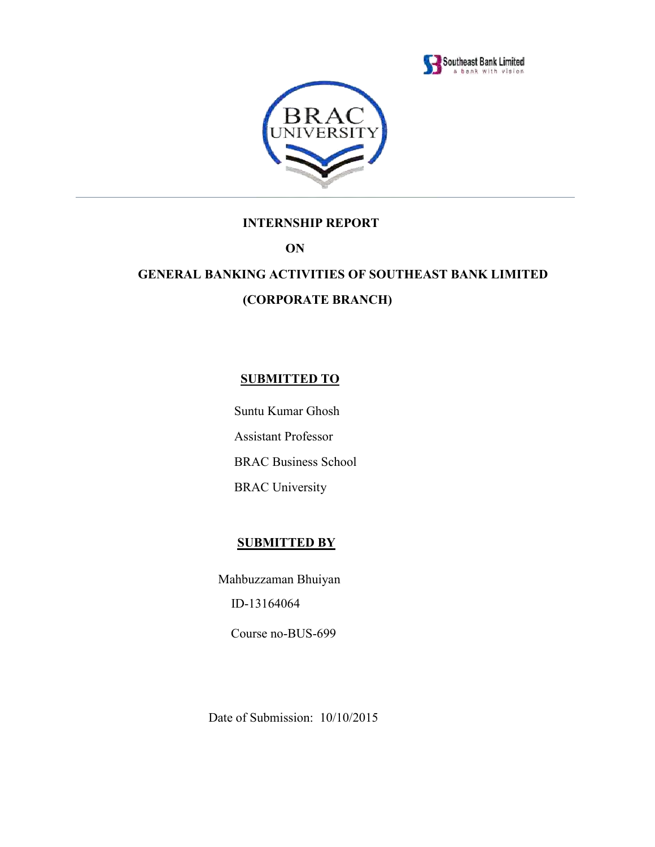



#### **INTERNSHIP REPORT**

 **ON**

# **GENERAL BANKING ACTIVITIES OF SOUTHEAST BANK LIMITED (CORPORATE BRANCH)**

## **SUBMITTED TO**

Suntu Kumar Ghosh

Assistant Professor

BRAC Business School

BRAC University

## **SUBMITTED BY**

 Mahbuzzaman Bhuiyan ID-13164064

Course no-BUS-699

Date of Submission: 10/10/2015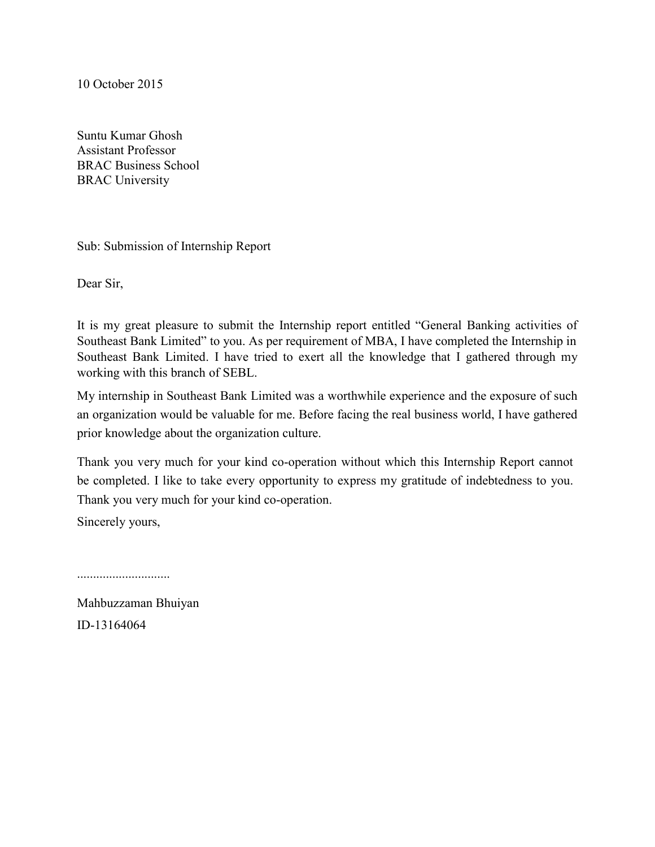10 October 2015

Suntu Kumar Ghosh Assistant Professor BRAC Business School BRAC University

Sub: Submission of Internship Report

Dear Sir,

It is my great pleasure to submit the Internship report entitled "General Banking activities of Southeast Bank Limited" to you. As per requirement of MBA, I have completed the Internship in Southeast Bank Limited. I have tried to exert all the knowledge that I gathered through my working with this branch of SEBL.

My internship in Southeast Bank Limited was a worthwhile experience and the exposure of such an organization would be valuable for me. Before facing the real business world, I have gathered prior knowledge about the organization culture.

Thank you very much for your kind co-operation without which this Internship Report cannot be completed. I like to take every opportunity to express my gratitude of indebtedness to you. Thank you very much for your kind co-operation.

Sincerely yours,

.............................

Mahbuzzaman Bhuiyan ID-13164064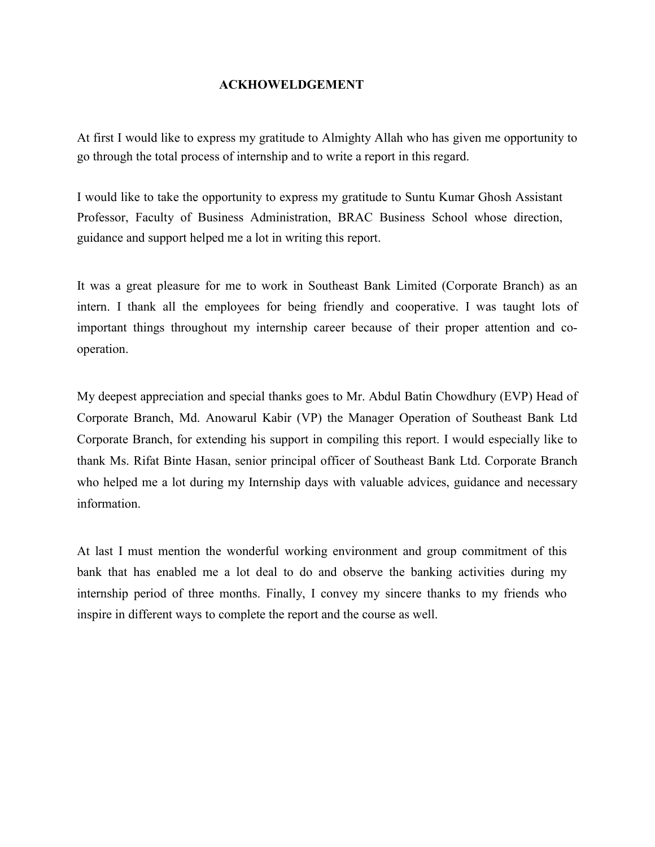#### **ACKHOWELDGEMENT**

At first I would like to express my gratitude to Almighty Allah who has given me opportunity to go through the total process of internship and to write a report in this regard.

I would like to take the opportunity to express my gratitude to Suntu Kumar Ghosh Assistant Professor, Faculty of Business Administration, BRAC Business School whose direction, guidance and support helped me a lot in writing this report.

It was a great pleasure for me to work in Southeast Bank Limited (Corporate Branch) as an intern. I thank all the employees for being friendly and cooperative. I was taught lots of important things throughout my internship career because of their proper attention and cooperation.

My deepest appreciation and special thanks goes to Mr. Abdul Batin Chowdhury (EVP) Head of Corporate Branch, Md. Anowarul Kabir (VP) the Manager Operation of Southeast Bank Ltd Corporate Branch, for extending his support in compiling this report. I would especially like to thank Ms. Rifat Binte Hasan, senior principal officer of Southeast Bank Ltd. Corporate Branch who helped me a lot during my Internship days with valuable advices, guidance and necessary information.

At last I must mention the wonderful working environment and group commitment of this bank that has enabled me a lot deal to do and observe the banking activities during my internship period of three months. Finally, I convey my sincere thanks to my friends who inspire in different ways to complete the report and the course as well.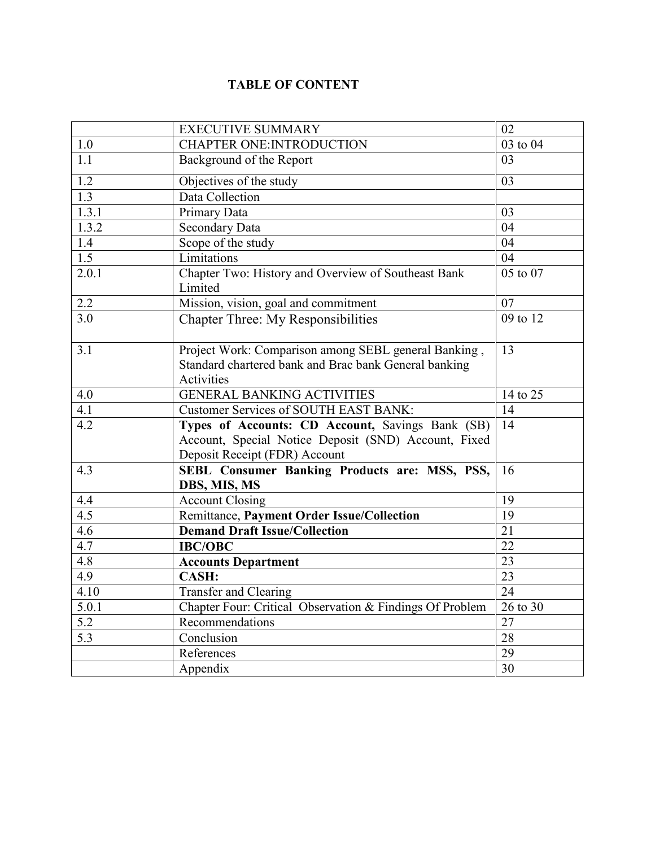# **TABLE OF CONTENT**

|       | <b>EXECUTIVE SUMMARY</b>                                                                                                                  | 02                    |
|-------|-------------------------------------------------------------------------------------------------------------------------------------------|-----------------------|
| 1.0   | <b>CHAPTER ONE: INTRODUCTION</b>                                                                                                          | 03 to 04              |
| 1.1   | Background of the Report                                                                                                                  | 03                    |
| 1.2   | Objectives of the study                                                                                                                   | 03                    |
| 1.3   | Data Collection                                                                                                                           |                       |
| 1.3.1 | Primary Data                                                                                                                              | 03                    |
| 1.3.2 | <b>Secondary Data</b>                                                                                                                     | 04                    |
| 1.4   | Scope of the study                                                                                                                        | 04                    |
| 1.5   | Limitations                                                                                                                               | 04                    |
| 2.0.1 | Chapter Two: History and Overview of Southeast Bank<br>Limited                                                                            | $\overline{0}5$ to 07 |
| 2.2   | Mission, vision, goal and commitment                                                                                                      | 07                    |
| 3.0   | <b>Chapter Three: My Responsibilities</b>                                                                                                 | 09 to 12              |
| 3.1   | Project Work: Comparison among SEBL general Banking,<br>Standard chartered bank and Brac bank General banking<br>Activities               | 13                    |
| 4.0   | <b>GENERAL BANKING ACTIVITIES</b>                                                                                                         | 14 to 25              |
| 4.1   | Customer Services of SOUTH EAST BANK:                                                                                                     | 14                    |
| 4.2   | Types of Accounts: CD Account, Savings Bank (SB)<br>Account, Special Notice Deposit (SND) Account, Fixed<br>Deposit Receipt (FDR) Account | 14                    |
| 4.3   | SEBL Consumer Banking Products are: MSS, PSS,<br>DBS, MIS, MS                                                                             | 16                    |
| 4.4   | <b>Account Closing</b>                                                                                                                    | 19                    |
| 4.5   | Remittance, Payment Order Issue/Collection                                                                                                | 19                    |
| 4.6   | <b>Demand Draft Issue/Collection</b>                                                                                                      | $\overline{21}$       |
| 4.7   | <b>IBC/OBC</b>                                                                                                                            | 22                    |
| 4.8   | <b>Accounts Department</b>                                                                                                                | $\overline{23}$       |
| 4.9   | <b>CASH:</b>                                                                                                                              | $\overline{23}$       |
| 4.10  | Transfer and Clearing                                                                                                                     | 24                    |
| 5.0.1 | Chapter Four: Critical Observation & Findings Of Problem                                                                                  | 26 to 30              |
| 5.2   | Recommendations                                                                                                                           | 27                    |
| 5.3   | Conclusion                                                                                                                                | 28                    |
|       | References                                                                                                                                | 29                    |
|       | Appendix                                                                                                                                  | $\overline{30}$       |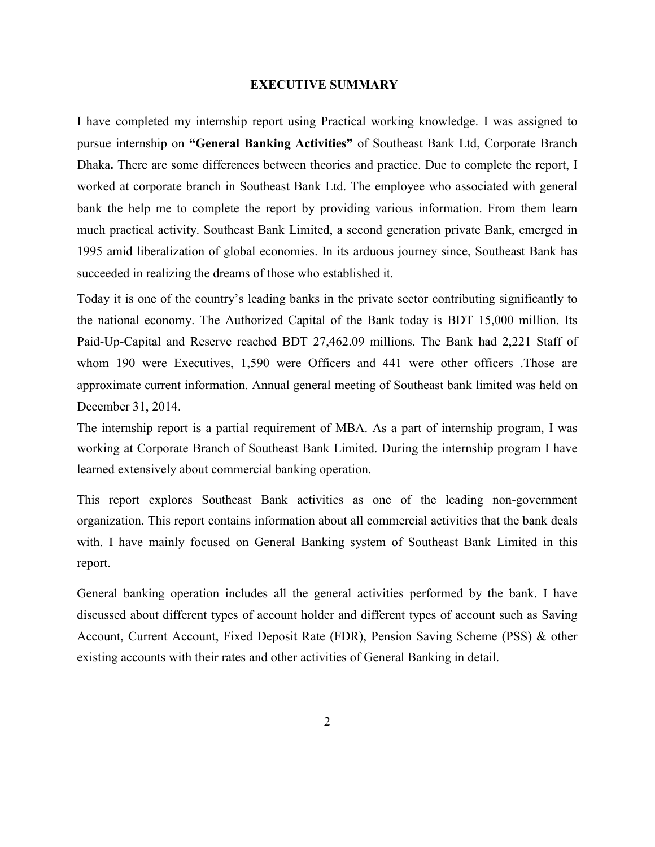#### **EXECUTIVE SUMMARY**

I have completed my internship report using Practical working knowledge. I was assigned to pursue internship on **"General Banking Activities"** of Southeast Bank Ltd, Corporate Branch Dhaka**.** There are some differences between theories and practice. Due to complete the report, I worked at corporate branch in Southeast Bank Ltd. The employee who associated with general bank the help me to complete the report by providing various information. From them learn much practical activity. Southeast Bank Limited, a second generation private Bank, emerged in 1995 amid liberalization of global economies. In its arduous journey since, Southeast Bank has succeeded in realizing the dreams of those who established it.

Today it is one of the country's leading banks in the private sector contributing significantly to the national economy. The Authorized Capital of the Bank today is BDT 15,000 million. Its Paid-Up-Capital and Reserve reached BDT 27,462.09 millions. The Bank had 2,221 Staff of whom 190 were Executives, 1,590 were Officers and 441 were other officers .Those are approximate current information. Annual general meeting of Southeast bank limited was held on December 31, 2014.

The internship report is a partial requirement of MBA. As a part of internship program, I was working at Corporate Branch of Southeast Bank Limited. During the internship program I have learned extensively about commercial banking operation.

This report explores Southeast Bank activities as one of the leading non-government organization. This report contains information about all commercial activities that the bank deals with. I have mainly focused on General Banking system of Southeast Bank Limited in this report.

General banking operation includes all the general activities performed by the bank. I have discussed about different types of account holder and different types of account such as Saving Account, Current Account, Fixed Deposit Rate (FDR), Pension Saving Scheme (PSS) & other existing accounts with their rates and other activities of General Banking in detail.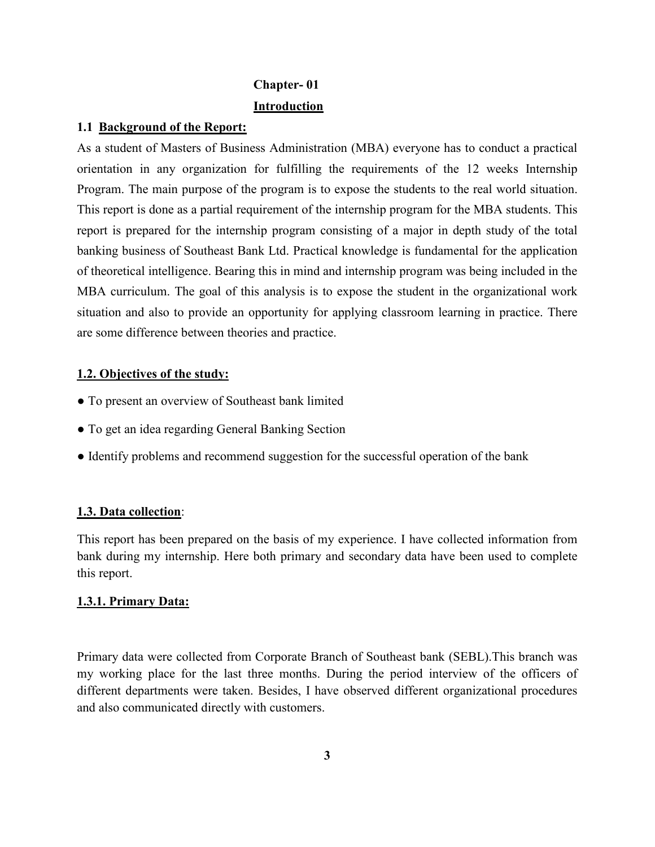# **Chapter- 01 Introduction**

#### **1.1 Background of the Report:**

As a student of Masters of Business Administration (MBA) everyone has to conduct a practical orientation in any organization for fulfilling the requirements of the 12 weeks Internship Program. The main purpose of the program is to expose the students to the real world situation. This report is done as a partial requirement of the internship program for the MBA students. This report is prepared for the internship program consisting of a major in depth study of the total banking business of Southeast Bank Ltd. Practical knowledge is fundamental for the application of theoretical intelligence. Bearing this in mind and internship program was being included in the MBA curriculum. The goal of this analysis is to expose the student in the organizational work situation and also to provide an opportunity for applying classroom learning in practice. There are some difference between theories and practice.

## **1.2. Objectives of the study:**

- To present an overview of Southeast bank limited
- To get an idea regarding General Banking Section
- Identify problems and recommend suggestion for the successful operation of the bank

## **1.3. Data collection**:

This report has been prepared on the basis of my experience. I have collected information from bank during my internship. Here both primary and secondary data have been used to complete this report.

#### **1.3.1. Primary Data:**

Primary data were collected from Corporate Branch of Southeast bank (SEBL).This branch was my working place for the last three months. During the period interview of the officers of different departments were taken. Besides, I have observed different organizational procedures and also communicated directly with customers.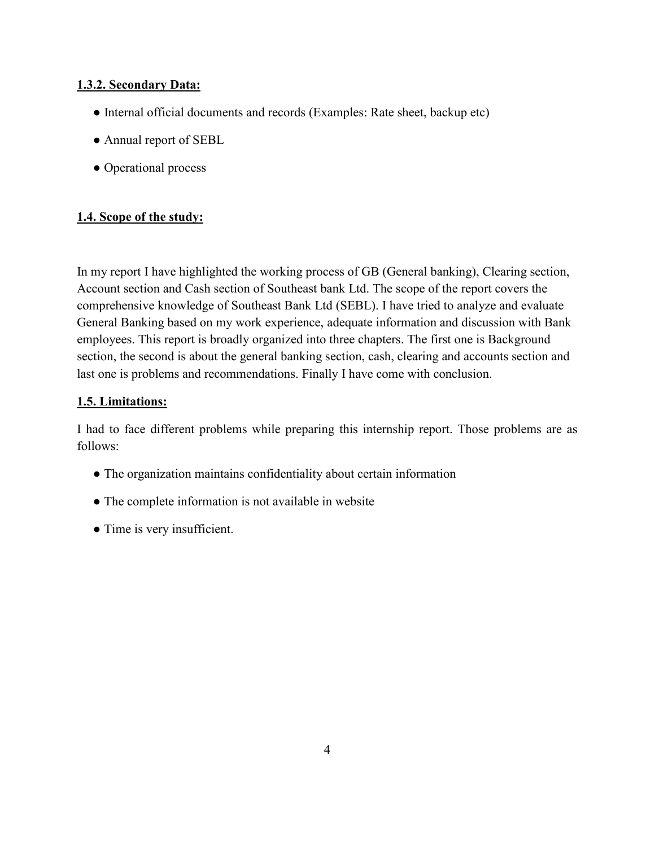## **1.3.2. Secondary Data:**

- Internal official documents and records (Examples: Rate sheet, backup etc)
- Annual report of SEBL
- Operational process

# **1.4. Scope of the study:**

In my report I have highlighted the working process of GB (General banking), Clearing section, Account section and Cash section of Southeast bank Ltd. The scope of the report covers the comprehensive knowledge of Southeast Bank Ltd (SEBL). I have tried to analyze and evaluate General Banking based on my work experience, adequate information and discussion with Bank employees. This report is broadly organized into three chapters. The first one is Background section, the second is about the general banking section, cash, clearing and accounts section and last one is problems and recommendations. Finally I have come with conclusion.

## **1.5. Limitations:**

I had to face different problems while preparing this internship report. Those problems are as follows:

- The organization maintains confidentiality about certain information
- The complete information is not available in website
- Time is very insufficient.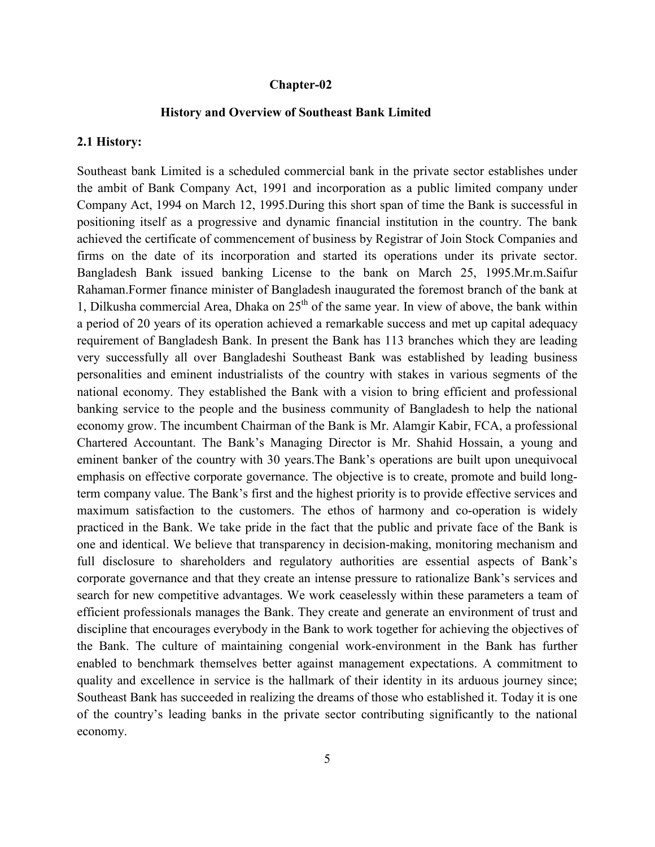#### **Chapter-02**

#### **History and Overview of Southeast Bank Limited**

#### **2.1 History:**

Southeast bank Limited is a scheduled commercial bank in the private sector establishes under the ambit of Bank Company Act, 1991 and incorporation as a public limited company under Company Act, 1994 on March 12, 1995.During this short span of time the Bank is successful in positioning itself as a progressive and dynamic financial institution in the country. The bank achieved the certificate of commencement of business by Registrar of Join Stock Companies and firms on the date of its incorporation and started its operations under its private sector. Bangladesh Bank issued banking License to the bank on March 25, 1995.Mr.m.Saifur Rahaman.Former finance minister of Bangladesh inaugurated the foremost branch of the bank at 1, Dilkusha commercial Area, Dhaka on  $25<sup>th</sup>$  of the same year. In view of above, the bank within a period of 20 years of its operation achieved a remarkable success and met up capital adequacy requirement of Bangladesh Bank. In present the Bank has 113 branches which they are leading very successfully all over Bangladeshi Southeast Bank was established by leading business personalities and eminent industrialists of the country with stakes in various segments of the national economy. They established the Bank with a vision to bring efficient and professional banking service to the people and the business community of Bangladesh to help the national economy grow. The incumbent Chairman of the Bank is Mr. Alamgir Kabir, FCA, a professional Chartered Accountant. The Bank's Managing Director is Mr. Shahid Hossain, a young and eminent banker of the country with 30 years.The Bank's operations are built upon unequivocal emphasis on effective corporate governance. The objective is to create, promote and build longterm company value. The Bank's first and the highest priority is to provide effective services and maximum satisfaction to the customers. The ethos of harmony and co-operation is widely practiced in the Bank. We take pride in the fact that the public and private face of the Bank is one and identical. We believe that transparency in decision-making, monitoring mechanism and full disclosure to shareholders and regulatory authorities are essential aspects of Bank's corporate governance and that they create an intense pressure to rationalize Bank's services and search for new competitive advantages. We work ceaselessly within these parameters a team of efficient professionals manages the Bank. They create and generate an environment of trust and discipline that encourages everybody in the Bank to work together for achieving the objectives of the Bank. The culture of maintaining congenial work-environment in the Bank has further enabled to benchmark themselves better against management expectations. A commitment to quality and excellence in service is the hallmark of their identity in its arduous journey since; Southeast Bank has succeeded in realizing the dreams of those who established it. Today it is one of the country's leading banks in the private sector contributing significantly to the national economy.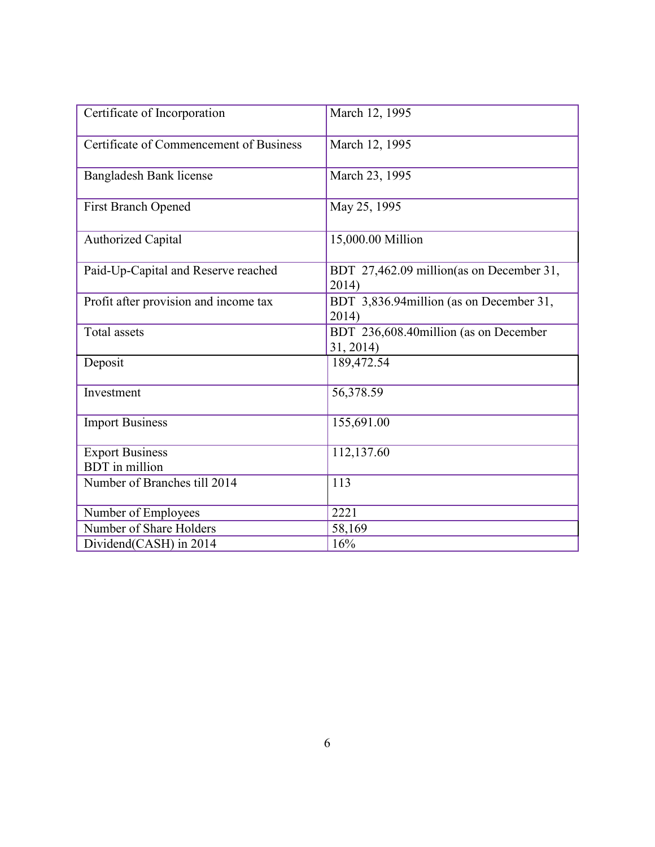| Certificate of Incorporation            | March 12, 1995                                     |
|-----------------------------------------|----------------------------------------------------|
| Certificate of Commencement of Business | March 12, 1995                                     |
| <b>Bangladesh Bank license</b>          | March 23, 1995                                     |
| <b>First Branch Opened</b>              | May 25, 1995                                       |
| <b>Authorized Capital</b>               | 15,000.00 Million                                  |
| Paid-Up-Capital and Reserve reached     | BDT 27,462.09 million(as on December 31,<br>2014)  |
| Profit after provision and income tax   | BDT 3,836.94 million (as on December 31,<br>2014)  |
| <b>Total</b> assets                     | BDT 236,608.40million (as on December<br>31, 2014) |
| Deposit                                 | 189,472.54                                         |
| Investment                              | 56,378.59                                          |
| <b>Import Business</b>                  | 155,691.00                                         |
| <b>Export Business</b>                  | 112,137.60                                         |
| <b>BDT</b> in million                   |                                                    |
| Number of Branches till 2014            | 113                                                |
| Number of Employees                     | 2221                                               |
| Number of Share Holders                 | 58,169                                             |
| Dividend(CASH) in 2014                  | 16%                                                |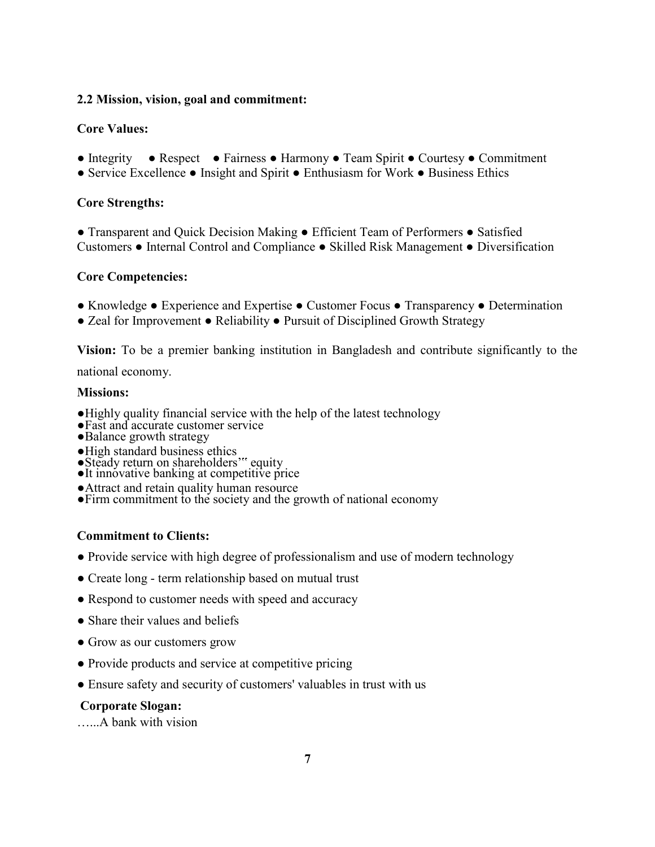#### **2.2 Mission, vision, goal and commitment:**

#### **Core Values:**

- Integrity Respect Fairness Harmony Team Spirit Courtesy Commitment
- Service Excellence Insight and Spirit Enthusiasm for Work Business Ethics

#### **Core Strengths:**

**●** Transparent and Quick Decision Making ● Efficient Team of Performers ● Satisfied Customers ● Internal Control and Compliance ● Skilled Risk Management ● Diversification

## **Core Competencies:**

- **●** Knowledge Experience and Expertise Customer Focus Transparency Determination
- Zeal for Improvement Reliability Pursuit of Disciplined Growth Strategy

**Vision:** To be a premier banking institution in Bangladesh and contribute significantly to the

national economy.

#### **Missions:**

- ●Highly quality financial service with the help of the latest technology
- ●Fast and accurate customer service
- ●Balance growth strategy
- ●High standard business ethics
- ●Steady return on shareholders'" equity
- ●It innovative banking at competitive price
- ●Attract and retain quality human resource
- ●Firm commitment to the society and the growth of national economy

#### **Commitment to Clients:**

- **●** Provide service with high degree of professionalism and use of modern technology
- Create long term relationship based on mutual trust
- Respond to customer needs with speed and accuracy
- Share their values and beliefs
- Grow as our customers grow
- Provide products and service at competitive pricing
- Ensure safety and security of customers' valuables in trust with us

#### **Corporate Slogan:**

…...A bank with vision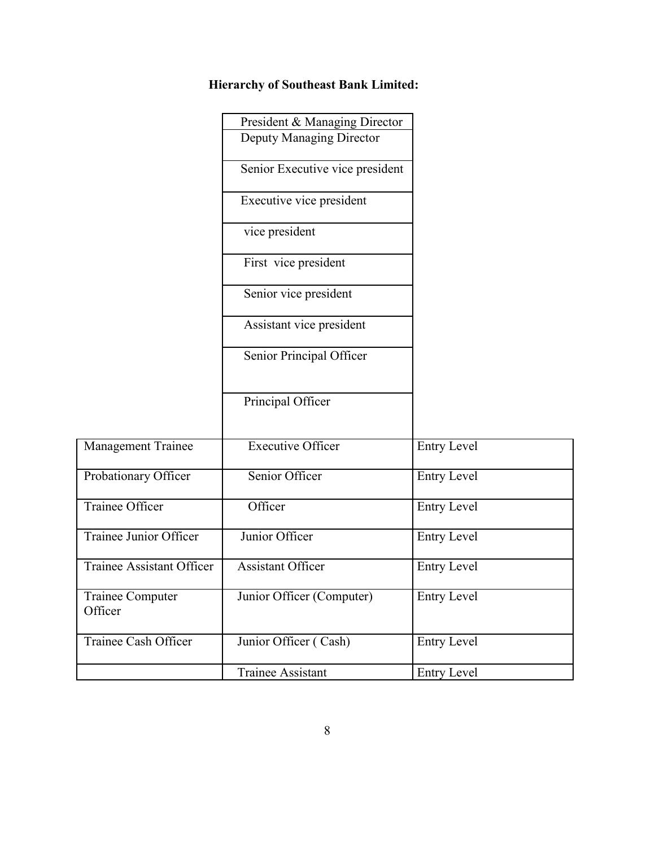|                                    | President & Managing Director   |                    |
|------------------------------------|---------------------------------|--------------------|
|                                    | Deputy Managing Director        |                    |
|                                    | Senior Executive vice president |                    |
|                                    | Executive vice president        |                    |
|                                    | vice president                  |                    |
|                                    | First vice president            |                    |
|                                    | Senior vice president           |                    |
|                                    | Assistant vice president        |                    |
|                                    | Senior Principal Officer        |                    |
|                                    | Principal Officer               |                    |
|                                    |                                 |                    |
| Management Trainee                 | <b>Executive Officer</b>        | <b>Entry Level</b> |
| Probationary Officer               | Senior Officer                  | <b>Entry Level</b> |
| <b>Trainee Officer</b>             | Officer                         | <b>Entry Level</b> |
| Trainee Junior Officer             | Junior Officer                  | <b>Entry Level</b> |
| <b>Trainee Assistant Officer</b>   | <b>Assistant Officer</b>        | <b>Entry Level</b> |
| <b>Trainee Computer</b><br>Officer | Junior Officer (Computer)       | Entry Level        |
| Trainee Cash Officer               | Junior Officer (Cash)           | <b>Entry Level</b> |
|                                    | <b>Trainee Assistant</b>        | <b>Entry Level</b> |

# **Hierarchy of Southeast Bank Limited:**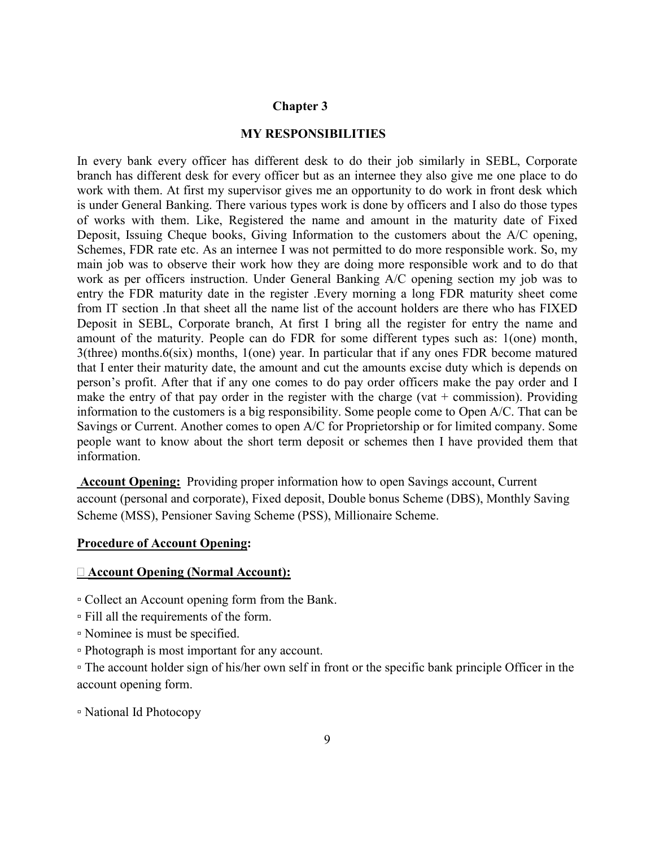#### **Chapter 3**

#### **MY RESPONSIBILITIES**

In every bank every officer has different desk to do their job similarly in SEBL, Corporate branch has different desk for every officer but as an internee they also give me one place to do work with them. At first my supervisor gives me an opportunity to do work in front desk which is under General Banking. There various types work is done by officers and I also do those types of works with them. Like, Registered the name and amount in the maturity date of Fixed Deposit, Issuing Cheque books, Giving Information to the customers about the A/C opening, Schemes, FDR rate etc. As an internee I was not permitted to do more responsible work. So, my main job was to observe their work how they are doing more responsible work and to do that work as per officers instruction. Under General Banking A/C opening section my job was to entry the FDR maturity date in the register .Every morning a long FDR maturity sheet come from IT section .In that sheet all the name list of the account holders are there who has FIXED Deposit in SEBL, Corporate branch, At first I bring all the register for entry the name and amount of the maturity. People can do FDR for some different types such as: 1(one) month, 3(three) months.6(six) months, 1(one) year. In particular that if any ones FDR become matured that I enter their maturity date, the amount and cut the amounts excise duty which is depends on person's profit. After that if any one comes to do pay order officers make the pay order and I make the entry of that pay order in the register with the charge (vat  $+$  commission). Providing information to the customers is a big responsibility. Some people come to Open A/C. That can be Savings or Current. Another comes to open A/C for Proprietorship or for limited company. Some people want to know about the short term deposit or schemes then I have provided them that information.

**Account Opening:** Providing proper information how to open Savings account, Current account (personal and corporate), Fixed deposit, Double bonus Scheme (DBS), Monthly Saving Scheme (MSS), Pensioner Saving Scheme (PSS), Millionaire Scheme.

#### **Procedure of Account Opening:**

#### **Account Opening (Normal Account):**

- Collect an Account opening form from the Bank.
- Fill all the requirements of the form.
- Nominee is must be specified.
- Photograph is most important for any account.

▫ The account holder sign of his/her own self in front or the specific bank principle Officer in the account opening form.

▫ National Id Photocopy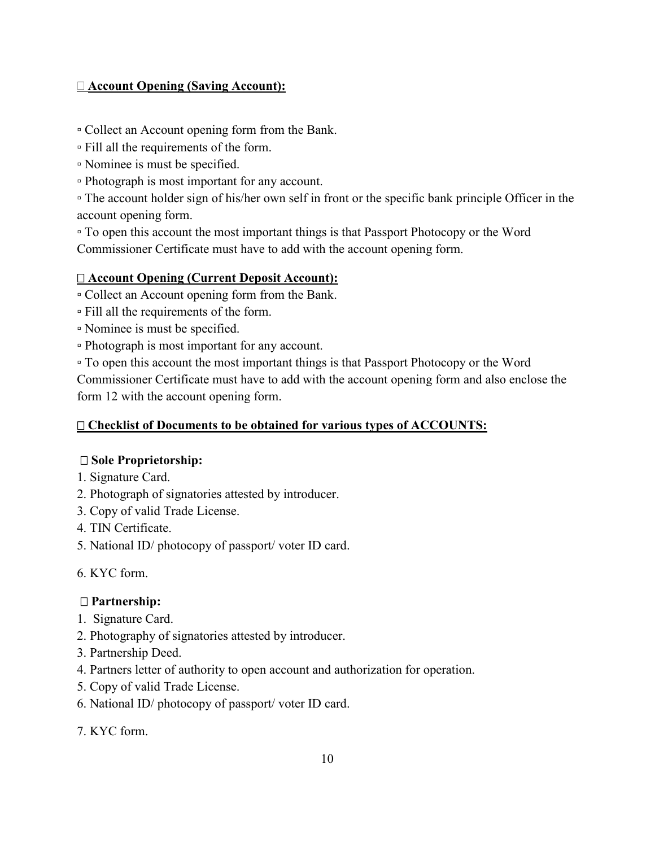## **Account Opening (Saving Account):**

▫ Collect an Account opening form from the Bank.

- Fill all the requirements of the form.
- Nominee is must be specified.
- Photograph is most important for any account.

▫ The account holder sign of his/her own self in front or the specific bank principle Officer in the account opening form.

▫ To open this account the most important things is that Passport Photocopy or the Word Commissioner Certificate must have to add with the account opening form.

## **Account Opening (Current Deposit Account):**

▫ Collect an Account opening form from the Bank.

- Fill all the requirements of the form.
- Nominee is must be specified.
- Photograph is most important for any account.
- To open this account the most important things is that Passport Photocopy or the Word

Commissioner Certificate must have to add with the account opening form and also enclose the form 12 with the account opening form.

## **Checklist of Documents to be obtained for various types of ACCOUNTS:**

## **Sole Proprietorship:**

- 1. Signature Card.
- 2. Photograph of signatories attested by introducer.
- 3. Copy of valid Trade License.
- 4. TIN Certificate.
- 5. National ID/ photocopy of passport/ voter ID card.
- 6. KYC form.

## **Partnership:**

- 1. Signature Card.
- 2. Photography of signatories attested by introducer.
- 3. Partnership Deed.
- 4. Partners letter of authority to open account and authorization for operation.
- 5. Copy of valid Trade License.
- 6. National ID/ photocopy of passport/ voter ID card.
- 7. KYC form.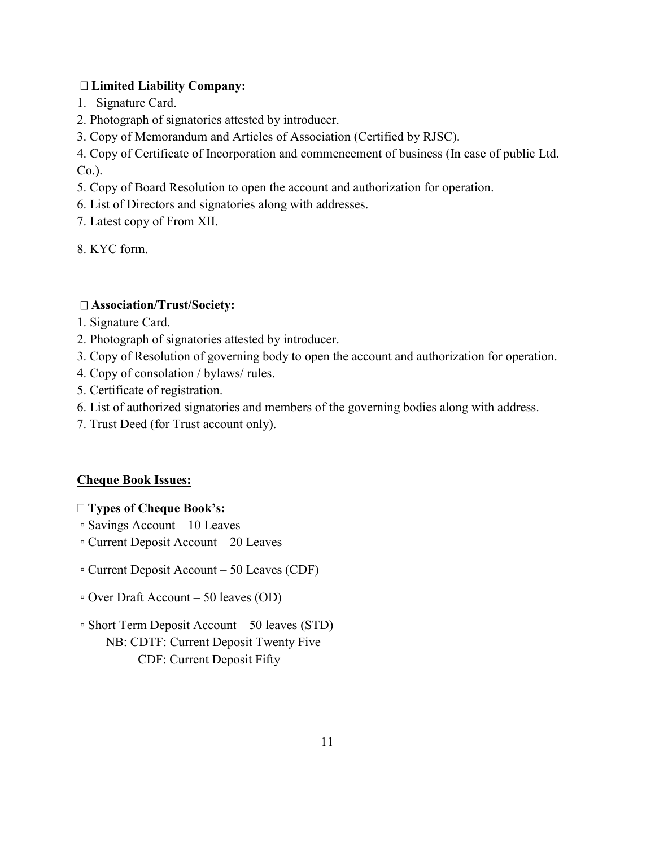## **Limited Liability Company:**

- 1. Signature Card.
- 2. Photograph of signatories attested by introducer.
- 3. Copy of Memorandum and Articles of Association (Certified by RJSC).
- 4. Copy of Certificate of Incorporation and commencement of business (In case of public Ltd. Co.).
- 5. Copy of Board Resolution to open the account and authorization for operation.
- 6. List of Directors and signatories along with addresses.
- 7. Latest copy of From XII.
- 8. KYC form.

## **Association/Trust/Society:**

- 1. Signature Card.
- 2. Photograph of signatories attested by introducer.
- 3. Copy of Resolution of governing body to open the account and authorization for operation.
- 4. Copy of consolation / bylaws/ rules.
- 5. Certificate of registration.
- 6. List of authorized signatories and members of the governing bodies along with address.
- 7. Trust Deed (for Trust account only).

## **Cheque Book Issues:**

## **Types of Cheque Book's:**

- Savings Account 10 Leaves
- Current Deposit Account 20 Leaves
- Current Deposit Account 50 Leaves (CDF)
- Over Draft Account 50 leaves (OD)
- Short Term Deposit Account 50 leaves (STD) NB: CDTF: Current Deposit Twenty Five CDF: Current Deposit Fifty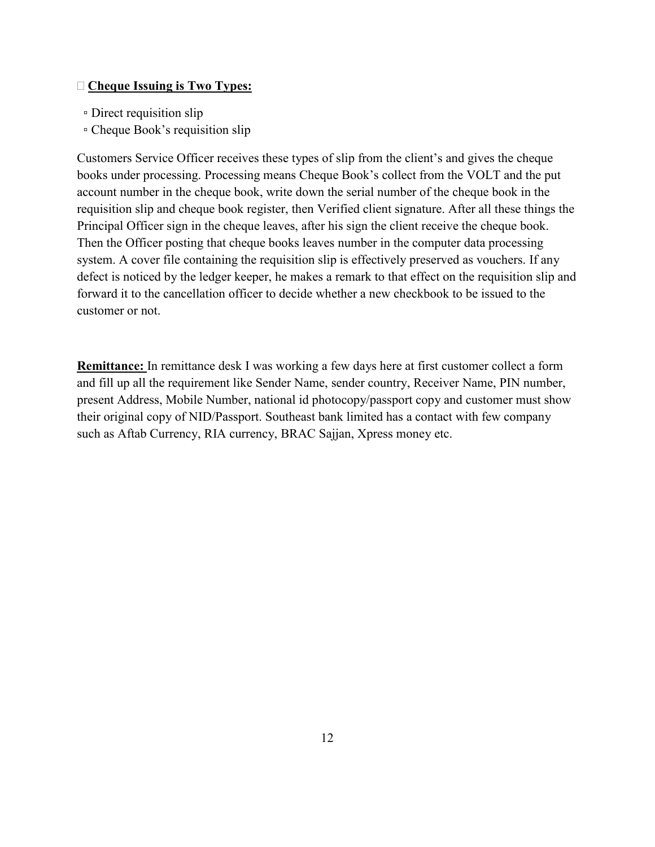#### **Cheque Issuing is Two Types:**

- Direct requisition slip
- Cheque Book's requisition slip

Customers Service Officer receives these types of slip from the client's and gives the cheque books under processing. Processing means Cheque Book's collect from the VOLT and the put account number in the cheque book, write down the serial number of the cheque book in the requisition slip and cheque book register, then Verified client signature. After all these things the Principal Officer sign in the cheque leaves, after his sign the client receive the cheque book. Then the Officer posting that cheque books leaves number in the computer data processing system. A cover file containing the requisition slip is effectively preserved as vouchers. If any defect is noticed by the ledger keeper, he makes a remark to that effect on the requisition slip and forward it to the cancellation officer to decide whether a new checkbook to be issued to the customer or not.

**Remittance:** In remittance desk I was working a few days here at first customer collect a form and fill up all the requirement like Sender Name, sender country, Receiver Name, PIN number, present Address, Mobile Number, national id photocopy/passport copy and customer must show their original copy of NID/Passport. Southeast bank limited has a contact with few company such as Aftab Currency, RIA currency, BRAC Sajjan, Xpress money etc.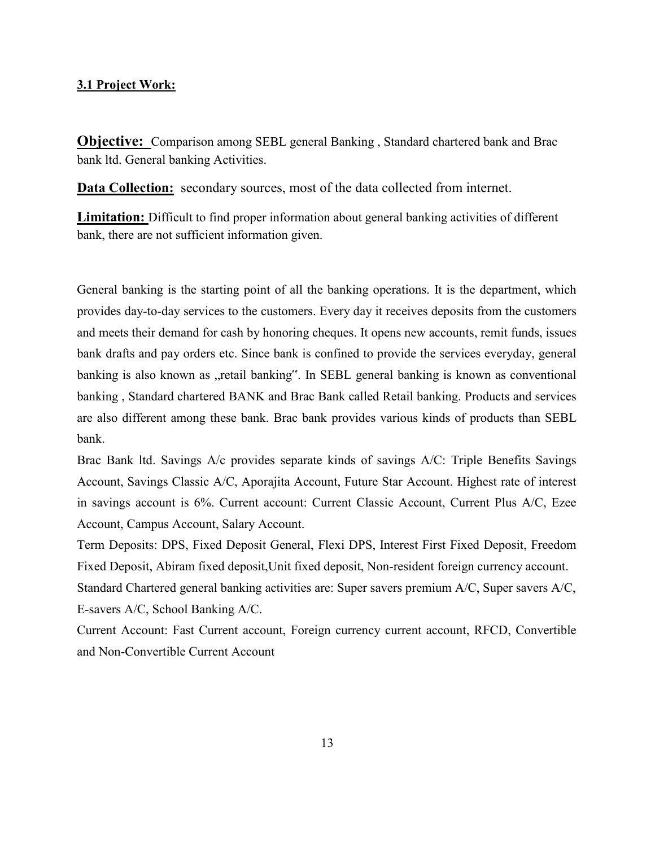#### **3.1 Project Work:**

**Objective:** Comparison among SEBL general Banking, Standard chartered bank and Brac bank ltd. General banking Activities.

**Data Collection:** secondary sources, most of the data collected from internet.

**Limitation:** Difficult to find proper information about general banking activities of different bank, there are not sufficient information given.

General banking is the starting point of all the banking operations. It is the department, which provides day-to-day services to the customers. Every day it receives deposits from the customers and meets their demand for cash by honoring cheques. It opens new accounts, remit funds, issues bank drafts and pay orders etc. Since bank is confined to provide the services everyday, general banking is also known as "retail banking". In SEBL general banking is known as conventional banking , Standard chartered BANK and Brac Bank called Retail banking. Products and services are also different among these bank. Brac bank provides various kinds of products than SEBL bank.

Brac Bank ltd. Savings A/c provides separate kinds of savings A/C: Triple Benefits Savings Account, Savings Classic A/C, Aporajita Account, Future Star Account. Highest rate of interest in savings account is 6%. Current account: [Current Classic Account,](http://www.bracbank.com/Current-Classic-Account.php) Current Plus A/C, Ezee Account, Campus Account, Salary Account.

Term Deposits: DPS, Fixed Deposit General, Flexi DPS, Interest First Fixed Deposit, Freedom Fixed Deposit, Abiram fixed deposit,Unit fixed deposit, Non-resident foreign currency account. Standard Chartered general banking activities are: Super savers premium A/C, Super savers A/C, E-savers A/C, School Banking A/C.

Current Account: Fast Current account, Foreign currency current account, RFCD, Convertible and Non-Convertible Current Account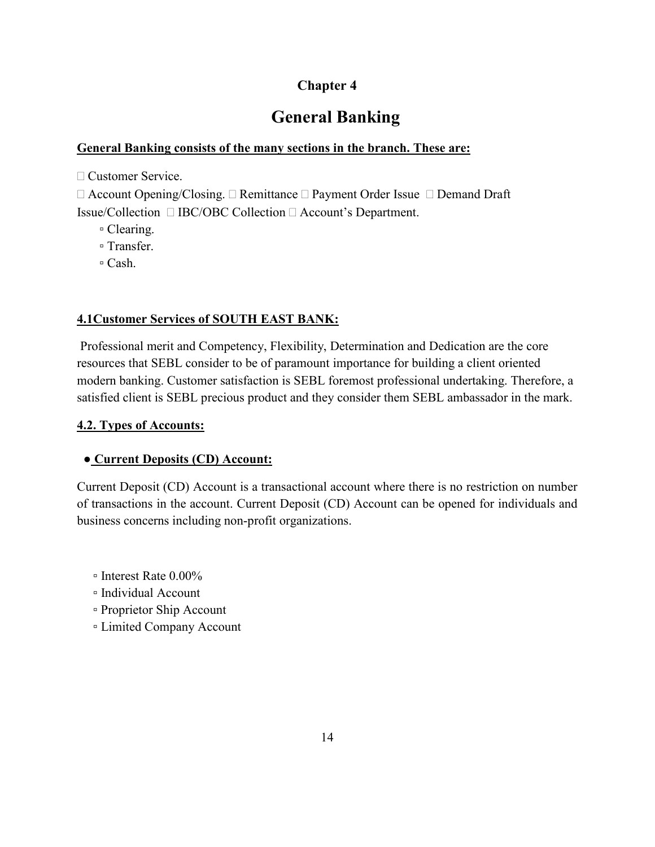# **Chapter 4**

# **General Banking**

## **General Banking consists of the many sections in the branch. These are:**

□ Customer Service.

 $\Box$  Account Opening/Closing.  $\Box$  Remittance  $\Box$  Payment Order Issue  $\Box$  Demand Draft Issue/Collection  $\Box$  IBC/OBC Collection  $\Box$  Account's Department.

- Clearing.
- Transfer.
- Cash.

# **4.1Customer Services of SOUTH EAST BANK:**

 Professional merit and Competency, Flexibility, Determination and Dedication are the core resources that SEBL consider to be of paramount importance for building a client oriented modern banking. Customer satisfaction is SEBL foremost professional undertaking. Therefore, a satisfied client is SEBL precious product and they consider them SEBL ambassador in the mark.

## **4.2. Types of Accounts:**

# ● **Current Deposits (CD) Account:**

Current Deposit (CD) Account is a transactional account where there is no restriction on number of transactions in the account. Current Deposit (CD) Account can be opened for individuals and business concerns including non-profit organizations.

- Interest Rate 0.00%
- Individual Account
- Proprietor Ship Account
- Limited Company Account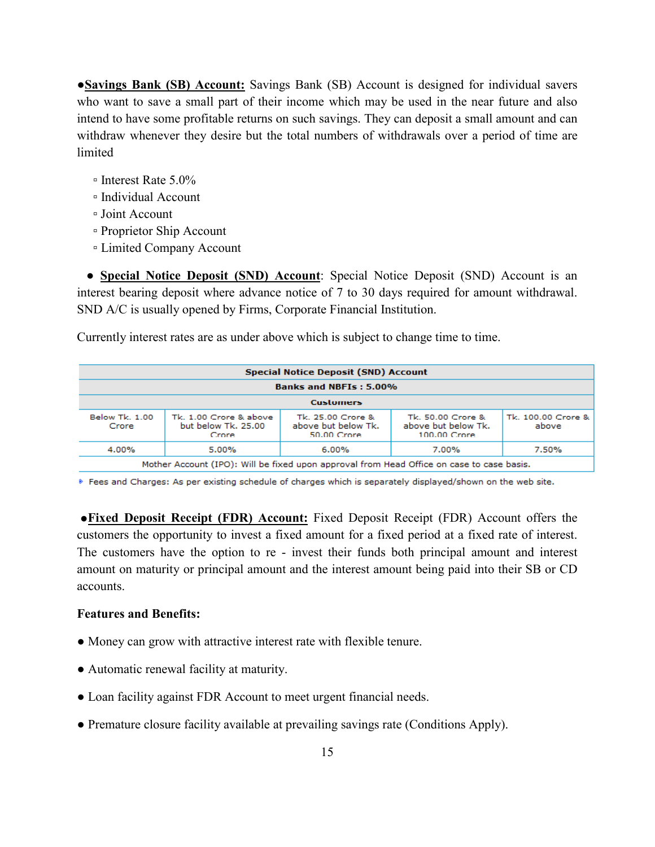**●Savings Bank (SB) Account:** Savings Bank (SB) Account is designed for individual savers who want to save a small part of their income which may be used in the near future and also intend to have some profitable returns on such savings. They can deposit a small amount and can withdraw whenever they desire but the total numbers of withdrawals over a period of time are limited

- Interest Rate 5.0%
- Individual Account
- Joint Account
- Proprietor Ship Account
- Limited Company Account

 ● **Special Notice Deposit (SND) Account**: Special Notice Deposit (SND) Account is an interest bearing deposit where advance notice of 7 to 30 days required for amount withdrawal. SND A/C is usually opened by Firms, Corporate Financial Institution.

Currently interest rates are as under above which is subject to change time to time.

| <b>Special Notice Deposit (SND) Account</b>                                               |                                                        |                                                         |                                                          |                             |
|-------------------------------------------------------------------------------------------|--------------------------------------------------------|---------------------------------------------------------|----------------------------------------------------------|-----------------------------|
| <b>Banks and NBFIs: 5.00%</b>                                                             |                                                        |                                                         |                                                          |                             |
| <b>Customers</b>                                                                          |                                                        |                                                         |                                                          |                             |
| Below Tk. 1.00<br>Crore                                                                   | Tk. 1.00 Crore & above<br>but below Tk. 25.00<br>Crore | Tk. 25.00 Crore &<br>above but below Tk.<br>50.00 Crore | Tk. 50.00 Crore &<br>above but below Tk.<br>100.00 Crore | Tk. 100.00 Crore &<br>above |
| 4.00%                                                                                     | 5.00%                                                  | 6.00%                                                   | 7.00%                                                    | 7.50%                       |
| Mother Account (IPO): Will be fixed upon approval from Head Office on case to case basis. |                                                        |                                                         |                                                          |                             |

Fees and Charges: As per existing schedule of charges which is separately displayed/shown on the web site.

 ●**Fixed Deposit Receipt (FDR) Account:** Fixed Deposit Receipt (FDR) Account offers the customers the opportunity to invest a fixed amount for a fixed period at a fixed rate of interest. The customers have the option to re - invest their funds both principal amount and interest amount on maturity or principal amount and the interest amount being paid into their SB or CD accounts.

#### **Features and Benefits:**

- Money can grow with attractive interest rate with flexible tenure.
- Automatic renewal facility at maturity.
- Loan facility against FDR Account to meet urgent financial needs.
- Premature closure facility available at prevailing savings rate (Conditions Apply).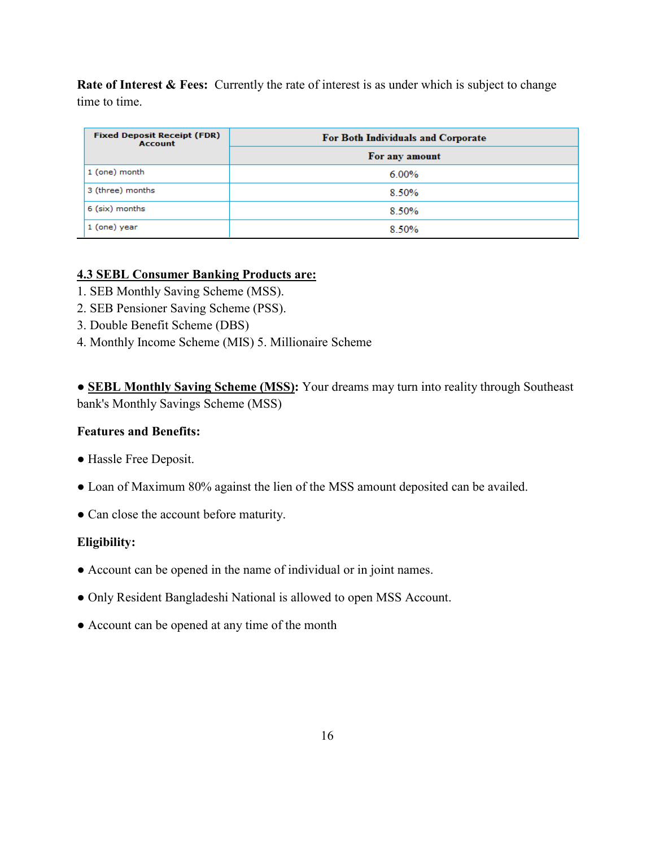**Rate of Interest & Fees:** Currently the rate of interest is as under which is subject to change time to time.

| <b>Fixed Deposit Receipt (FDR)</b><br><b>Account</b> | <b>For Both Individuals and Corporate</b> |
|------------------------------------------------------|-------------------------------------------|
|                                                      | For any amount                            |
| 1 (one) month                                        | $6.00\%$                                  |
| 3 (three) months                                     | 8.50%                                     |
| 6 (six) months                                       | 8.50%                                     |
| 1 (one) year                                         | 8.50%                                     |

#### **4.3 SEBL Consumer Banking Products are:**

- 1. SEB Monthly Saving Scheme (MSS).
- 2. SEB Pensioner Saving Scheme (PSS).
- 3. Double Benefit Scheme (DBS)
- 4. Monthly Income Scheme (MIS) 5. Millionaire Scheme

● **SEBL Monthly Saving Scheme (MSS):** Your dreams may turn into reality through Southeast bank's Monthly Savings Scheme (MSS)

## **Features and Benefits:**

- Hassle Free Deposit.
- Loan of Maximum 80% against the lien of the MSS amount deposited can be availed.
- Can close the account before maturity.

# **Eligibility:**

- Account can be opened in the name of individual or in joint names.
- Only Resident Bangladeshi National is allowed to open MSS Account.
- Account can be opened at any time of the month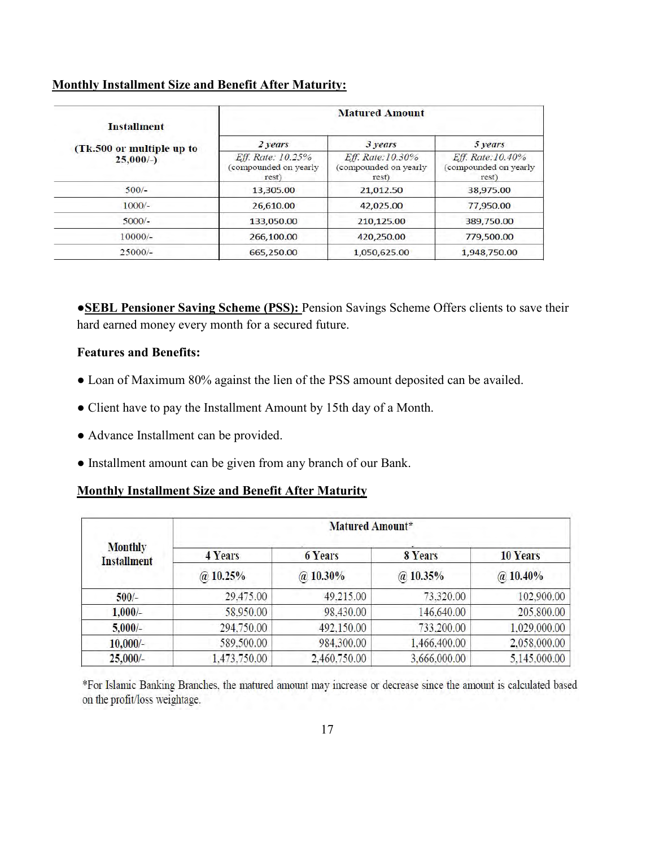|--|

| <b>Installment</b>        | <b>Matured Amount</b>                               |                                                    |                                                     |  |
|---------------------------|-----------------------------------------------------|----------------------------------------------------|-----------------------------------------------------|--|
| (Tk.500 or multiple up to | 2 years                                             | 3 years                                            | 5 years                                             |  |
| $25,000/-$                | Eff. Rate: 10.25%<br>(compounded on yearly<br>rest) | Eff. Rate: 10.30%<br>compounded on yearly<br>rest) | Eff. Rate: 10.40%<br>(compounded on yearly<br>rest) |  |
| $500/-$                   | 13,305.00                                           | 21,012.50                                          | 38,975.00                                           |  |
| $1000/-$                  | 26.610.00                                           | 42,025.00                                          | 77,950.00                                           |  |
| $5000/-$                  | 133,050.00                                          | 210,125.00                                         | 389,750.00                                          |  |
| $10000/-$                 | 266,100.00                                          | 420,250.00                                         | 779,500.00                                          |  |
| $25000/-$                 | 665,250.00                                          | 1,050,625.00                                       | 1,948,750.00                                        |  |

●**SEBL Pensioner Saving Scheme (PSS):** Pension Savings Scheme Offers clients to save their hard earned money every month for a secured future.

#### **Features and Benefits:**

- Loan of Maximum 80% against the lien of the PSS amount deposited can be availed.
- Client have to pay the Installment Amount by 15th day of a Month.
- Advance Installment can be provided.
- Installment amount can be given from any branch of our Bank.

#### **Monthly Installment Size and Benefit After Maturity**

|                                      | Matured Amount* |                |              |                 |
|--------------------------------------|-----------------|----------------|--------------|-----------------|
| <b>Monthly</b><br><b>Installment</b> | 4 Years         | <b>6 Years</b> | 8 Years      | <b>10 Years</b> |
|                                      | $@.10.25\%$     | $@10.30\%$     | $@.10.35\%$  | $@.10.40\%$     |
| $500/-$                              | 29,475.00       | 49,215.00      | 73,320.00    | 102,900.00      |
| $1,000/-$                            | 58,950.00       | 98,430.00      | 146,640.00   | 205,800.00      |
| $5,000/-$                            | 294,750.00      | 492,150.00     | 733,200.00   | 1.029,000.00    |
| $10.000/-$                           | 589,500.00      | 984,300.00     | 1.466,400.00 | 2.058,000.00    |
| $25,000/-$                           | 1,473,750,00    | 2,460,750.00   | 3,666,000.00 | 5.145,000.00    |

\*For Islamic Banking Branches, the matured amount may increase or decrease since the amount is calculated based on the profit/loss weightage.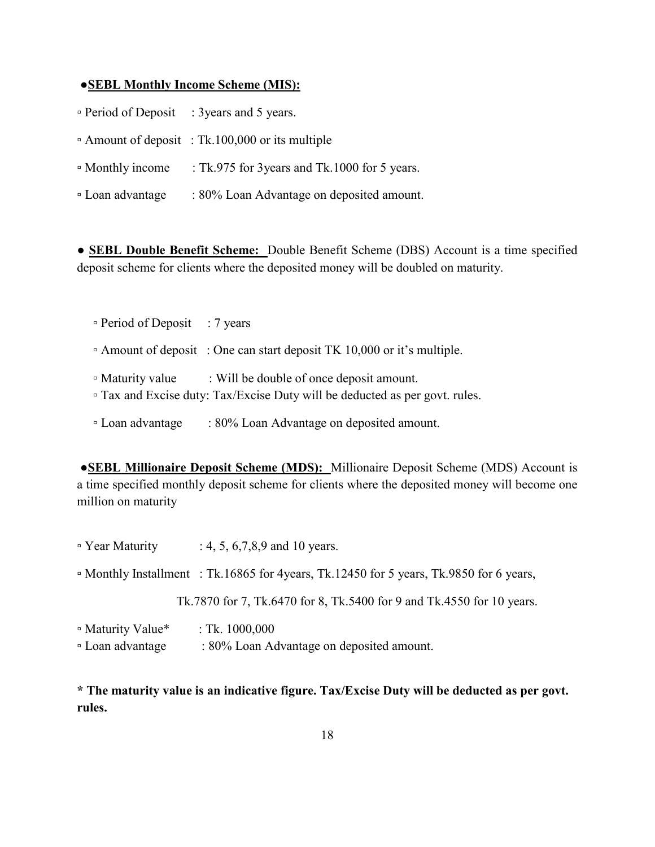#### ●**SEBL Monthly Income Scheme (MIS):**

- Period of Deposit : 3years and 5 years.
- Amount of deposit : Tk.100,000 or its multiple
- Monthly income : Tk.975 for 3years and Tk.1000 for 5 years.
- Loan advantage : 80% Loan Advantage on deposited amount.

● **SEBL Double Benefit Scheme:** Double Benefit Scheme (DBS) Account is a time specified deposit scheme for clients where the deposited money will be doubled on maturity.

- Period of Deposit : 7 years ▫ Amount of deposit : One can start deposit TK 10,000 or it's multiple. ▫ Maturity value : Will be double of once deposit amount. ▫ Tax and Excise duty: Tax/Excise Duty will be deducted as per govt. rules.
	- Loan advantage : 80% Loan Advantage on deposited amount.

 ●**SEBL Millionaire Deposit Scheme (MDS):** Millionaire Deposit Scheme (MDS) Account is a time specified monthly deposit scheme for clients where the deposited money will become one million on maturity

| □ Year Maturity               | : 4, 5, 6, 7, 8, 9 and 10 years.                                                        |
|-------------------------------|-----------------------------------------------------------------------------------------|
|                               | • Monthly Installment : Tk.16865 for 4years, Tk.12450 for 5 years, Tk.9850 for 6 years, |
|                               | Tk.7870 for 7, Tk.6470 for 8, Tk.5400 for 9 and Tk.4550 for 10 years.                   |
| ■ Maturity Value <sup>*</sup> | : Tk. $1000,000$                                                                        |
| □ Loan advantage              | : 80% Loan Advantage on deposited amount.                                               |

**\* The maturity value is an indicative figure. Tax/Excise Duty will be deducted as per govt. rules.**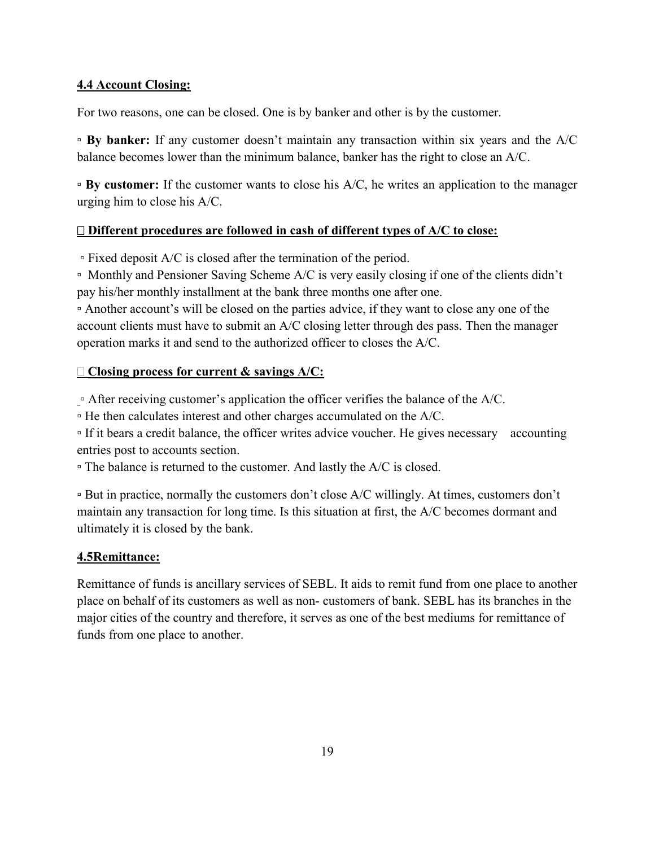## **4.4 Account Closing:**

For two reasons, one can be closed. One is by banker and other is by the customer.

▫ **By banker:** If any customer doesn't maintain any transaction within six years and the A/C balance becomes lower than the minimum balance, banker has the right to close an A/C.

▫ **By customer:** If the customer wants to close his A/C, he writes an application to the manager urging him to close his A/C.

#### **Different procedures are followed in cash of different types of A/C to close:**

▫ Fixed deposit A/C is closed after the termination of the period.

▫ Monthly and Pensioner Saving Scheme A/C is very easily closing if one of the clients didn't pay his/her monthly installment at the bank three months one after one.

▫ Another account's will be closed on the parties advice, if they want to close any one of the account clients must have to submit an A/C closing letter through des pass. Then the manager operation marks it and send to the authorized officer to closes the A/C.

#### **Closing process for current & savings A/C:**

 $\sim$  After receiving customer's application the officer verifies the balance of the A/C.

▫ He then calculates interest and other charges accumulated on the A/C.

▫ If it bears a credit balance, the officer writes advice voucher. He gives necessary accounting entries post to accounts section.

▫ The balance is returned to the customer. And lastly the A/C is closed.

▫ But in practice, normally the customers don't close A/C willingly. At times, customers don't maintain any transaction for long time. Is this situation at first, the A/C becomes dormant and ultimately it is closed by the bank.

## **4.5Remittance:**

Remittance of funds is ancillary services of SEBL. It aids to remit fund from one place to another place on behalf of its customers as well as non- customers of bank. SEBL has its branches in the major cities of the country and therefore, it serves as one of the best mediums for remittance of funds from one place to another.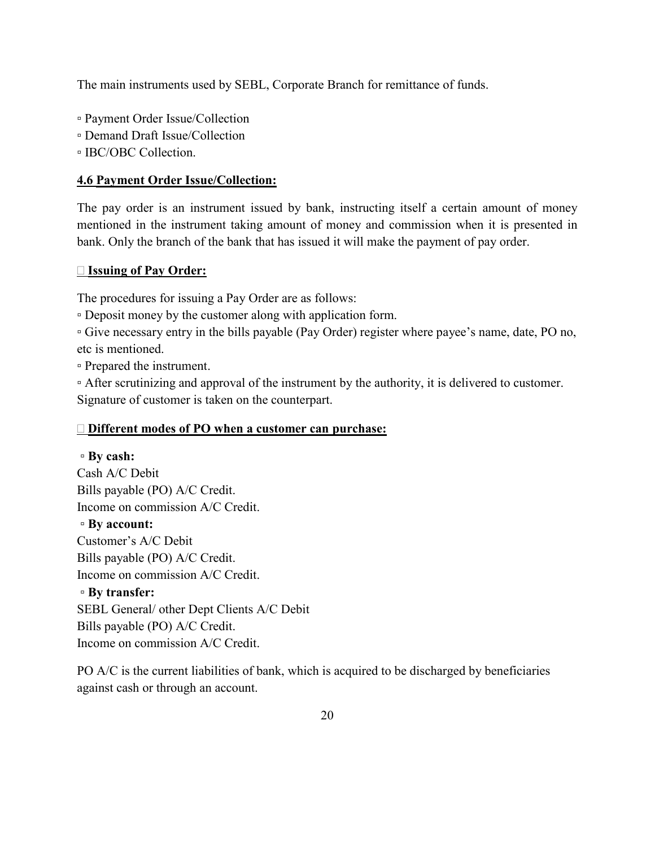The main instruments used by SEBL, Corporate Branch for remittance of funds.

- Payment Order Issue/Collection
- Demand Draft Issue/Collection
- IBC/OBC Collection.

# **4.6 Payment Order Issue/Collection:**

The pay order is an instrument issued by bank, instructing itself a certain amount of money mentioned in the instrument taking amount of money and commission when it is presented in bank. Only the branch of the bank that has issued it will make the payment of pay order.

## **Issuing of Pay Order:**

The procedures for issuing a Pay Order are as follows:

▫ Deposit money by the customer along with application form.

▫ Give necessary entry in the bills payable (Pay Order) register where payee's name, date, PO no, etc is mentioned.

▫ Prepared the instrument.

▫ After scrutinizing and approval of the instrument by the authority, it is delivered to customer. Signature of customer is taken on the counterpart.

# **Different modes of PO when a customer can purchase:**

 ▫ **By cash:** Cash A/C Debit Bills payable (PO) A/C Credit. Income on commission A/C Credit. ▫ **By account:** Customer's A/C Debit Bills payable (PO) A/C Credit. Income on commission A/C Credit. ▫ **By transfer:**

SEBL General/ other Dept Clients A/C Debit Bills payable (PO) A/C Credit. Income on commission A/C Credit.

PO A/C is the current liabilities of bank, which is acquired to be discharged by beneficiaries against cash or through an account.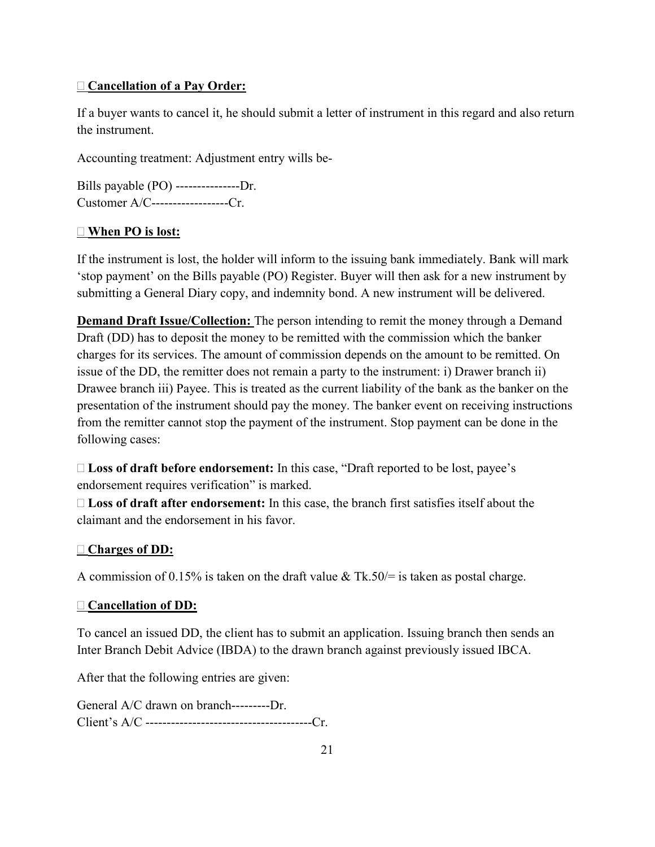## **Cancellation of a Pay Order:**

If a buyer wants to cancel it, he should submit a letter of instrument in this regard and also return the instrument.

Accounting treatment: Adjustment entry wills be-

Bills payable (PO) ---------------Dr. Customer A/C------------------Cr.

## **When PO is lost:**

If the instrument is lost, the holder will inform to the issuing bank immediately. Bank will mark 'stop payment' on the Bills payable (PO) Register. Buyer will then ask for a new instrument by submitting a General Diary copy, and indemnity bond. A new instrument will be delivered.

**Demand Draft Issue/Collection:** The person intending to remit the money through a Demand Draft (DD) has to deposit the money to be remitted with the commission which the banker charges for its services. The amount of commission depends on the amount to be remitted. On issue of the DD, the remitter does not remain a party to the instrument: i) Drawer branch ii) Drawee branch iii) Payee. This is treated as the current liability of the bank as the banker on the presentation of the instrument should pay the money. The banker event on receiving instructions from the remitter cannot stop the payment of the instrument. Stop payment can be done in the following cases:

 **Loss of draft before endorsement:** In this case, "Draft reported to be lost, payee's endorsement requires verification" is marked.

 **Loss of draft after endorsement:** In this case, the branch first satisfies itself about the claimant and the endorsement in his favor.

## **Charges of DD:**

A commission of 0.15% is taken on the draft value  $& Tk.50/=$  is taken as postal charge.

## **Cancellation of DD:**

To cancel an issued DD, the client has to submit an application. Issuing branch then sends an Inter Branch Debit Advice (IBDA) to the drawn branch against previously issued IBCA.

After that the following entries are given:

General A/C drawn on branch---------Dr. Client's A/C ---------------------------------------Cr.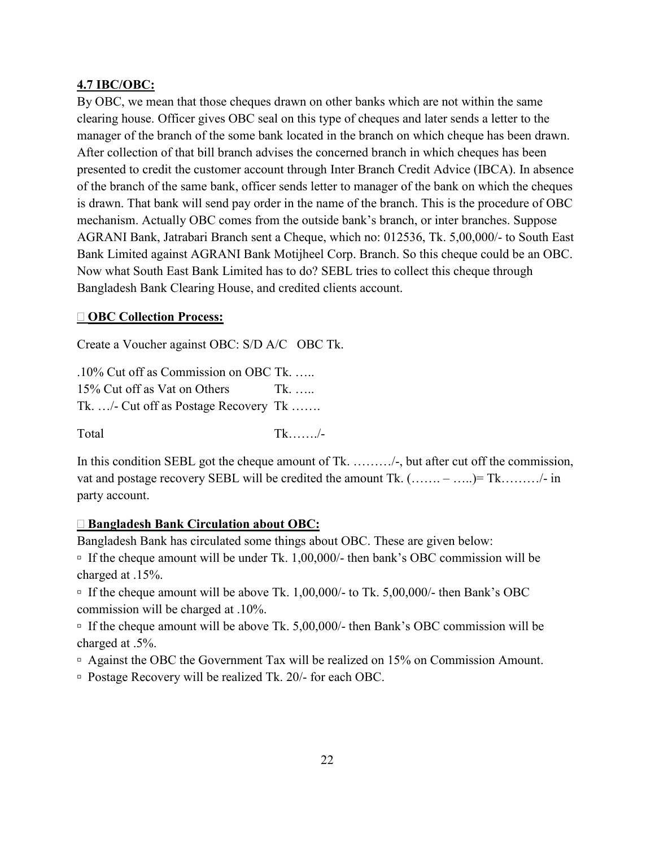#### **4.7 IBC/OBC:**

By OBC, we mean that those cheques drawn on other banks which are not within the same clearing house. Officer gives OBC seal on this type of cheques and later sends a letter to the manager of the branch of the some bank located in the branch on which cheque has been drawn. After collection of that bill branch advises the concerned branch in which cheques has been presented to credit the customer account through Inter Branch Credit Advice (IBCA). In absence of the branch of the same bank, officer sends letter to manager of the bank on which the cheques is drawn. That bank will send pay order in the name of the branch. This is the procedure of OBC mechanism. Actually OBC comes from the outside bank's branch, or inter branches. Suppose AGRANI Bank, Jatrabari Branch sent a Cheque, which no: 012536, Tk. 5,00,000/- to South East Bank Limited against AGRANI Bank Motijheel Corp. Branch. So this cheque could be an OBC. Now what South East Bank Limited has to do? SEBL tries to collect this cheque through Bangladesh Bank Clearing House, and credited clients account.

#### **OBC Collection Process:**

Create a Voucher against OBC: S/D A/C OBC Tk.

.10% Cut off as Commission on OBC Tk. ….. 15% Cut off as Vat on Others Tk. ….. Tk. …/- Cut off as Postage Recovery Tk …….

Total Tk……./-

In this condition SEBL got the cheque amount of Tk. ………../-, but after cut off the commission, vat and postage recovery SEBL will be credited the amount Tk. (……. – …..)= Tk………/- in party account.

#### **Bangladesh Bank Circulation about OBC:**

Bangladesh Bank has circulated some things about OBC. These are given below:

**▫** If the cheque amount will be under Tk. 1,00,000/- then bank's OBC commission will be charged at .15%.

**▫** If the cheque amount will be above Tk. 1,00,000/- to Tk. 5,00,000/- then Bank's OBC commission will be charged at .10%.

**▫** If the cheque amount will be above Tk. 5,00,000/- then Bank's OBC commission will be charged at .5%.

**▫** Against the OBC the Government Tax will be realized on 15% on Commission Amount.

**▫** Postage Recovery will be realized Tk. 20/- for each OBC.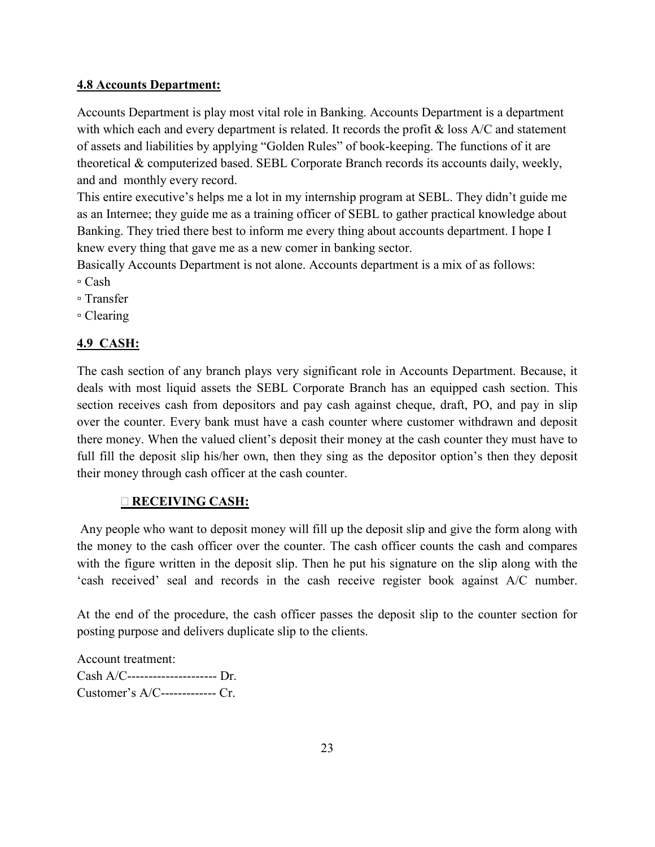#### **4.8 Accounts Department:**

Accounts Department is play most vital role in Banking. Accounts Department is a department with which each and every department is related. It records the profit & loss A/C and statement of assets and liabilities by applying "Golden Rules" of book-keeping. The functions of it are theoretical & computerized based. SEBL Corporate Branch records its accounts daily, weekly, and and monthly every record.

This entire executive's helps me a lot in my internship program at SEBL. They didn't guide me as an Internee; they guide me as a training officer of SEBL to gather practical knowledge about Banking. They tried there best to inform me every thing about accounts department. I hope I knew every thing that gave me as a new comer in banking sector.

Basically Accounts Department is not alone. Accounts department is a mix of as follows: ▫ Cash

- Transfer
- Clearing

## **4.9 CASH:**

The cash section of any branch plays very significant role in Accounts Department. Because, it deals with most liquid assets the SEBL Corporate Branch has an equipped cash section. This section receives cash from depositors and pay cash against cheque, draft, PO, and pay in slip over the counter. Every bank must have a cash counter where customer withdrawn and deposit there money. When the valued client's deposit their money at the cash counter they must have to full fill the deposit slip his/her own, then they sing as the depositor option's then they deposit their money through cash officer at the cash counter.

#### **RECEIVING CASH:**

Any people who want to deposit money will fill up the deposit slip and give the form along with the money to the cash officer over the counter. The cash officer counts the cash and compares with the figure written in the deposit slip. Then he put his signature on the slip along with the 'cash received' seal and records in the cash receive register book against A/C number.

At the end of the procedure, the cash officer passes the deposit slip to the counter section for posting purpose and delivers duplicate slip to the clients.

Account treatment: Cash A/C--------------------- Dr. Customer's A/C------------- Cr.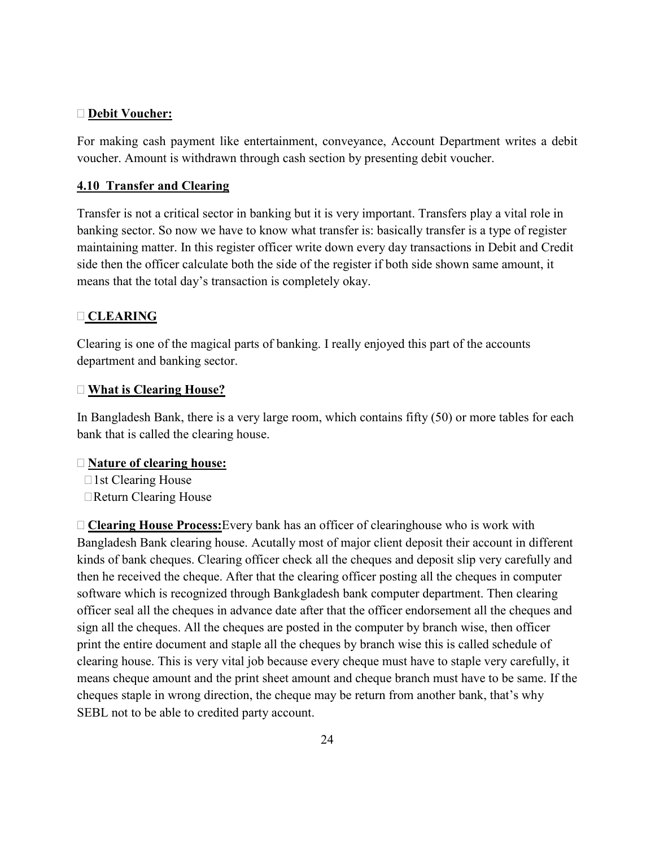#### **Debit Voucher:**

For making cash payment like entertainment, conveyance, Account Department writes a debit voucher. Amount is withdrawn through cash section by presenting debit voucher.

#### **4.10 Transfer and Clearing**

Transfer is not a critical sector in banking but it is very important. Transfers play a vital role in banking sector. So now we have to know what transfer is: basically transfer is a type of register maintaining matter. In this register officer write down every day transactions in Debit and Credit side then the officer calculate both the side of the register if both side shown same amount, it means that the total day's transaction is completely okay.

#### **CLEARING**

Clearing is one of the magical parts of banking. I really enjoyed this part of the accounts department and banking sector.

#### **What is Clearing House?**

In Bangladesh Bank, there is a very large room, which contains fifty (50) or more tables for each bank that is called the clearing house.

#### **Nature of clearing house:**

 $\Box$ 1st Clearing House □Return Clearing House

 **Clearing House Process:**Every bank has an officer of clearinghouse who is work with Bangladesh Bank clearing house. Acutally most of major client deposit their account in different kinds of bank cheques. Clearing officer check all the cheques and deposit slip very carefully and then he received the cheque. After that the clearing officer posting all the cheques in computer software which is recognized through Bankgladesh bank computer department. Then clearing officer seal all the cheques in advance date after that the officer endorsement all the cheques and sign all the cheques. All the cheques are posted in the computer by branch wise, then officer print the entire document and staple all the cheques by branch wise this is called schedule of clearing house. This is very vital job because every cheque must have to staple very carefully, it means cheque amount and the print sheet amount and cheque branch must have to be same. If the cheques staple in wrong direction, the cheque may be return from another bank, that's why SEBL not to be able to credited party account.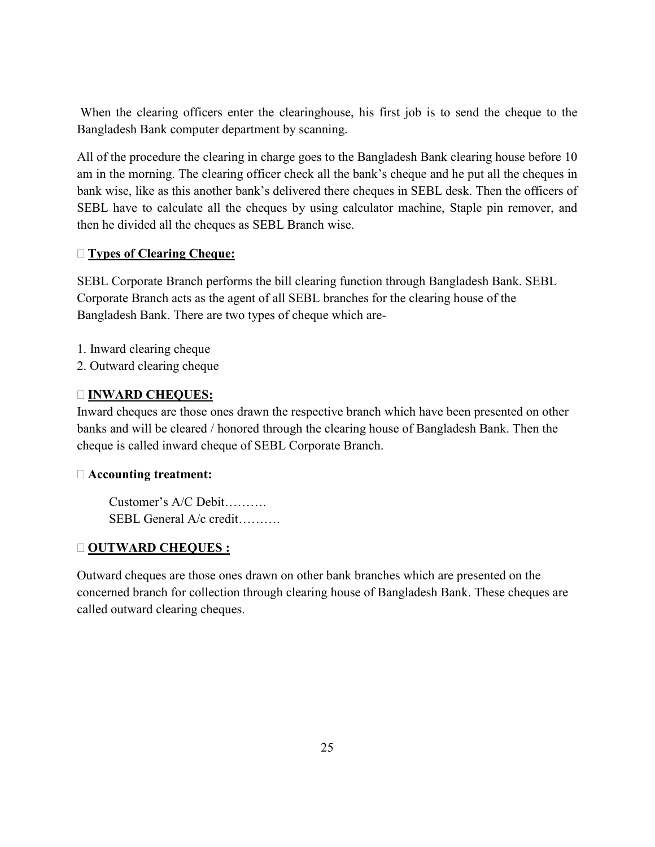When the clearing officers enter the clearinghouse, his first job is to send the cheque to the Bangladesh Bank computer department by scanning.

All of the procedure the clearing in charge goes to the Bangladesh Bank clearing house before 10 am in the morning. The clearing officer check all the bank's cheque and he put all the cheques in bank wise, like as this another bank's delivered there cheques in SEBL desk. Then the officers of SEBL have to calculate all the cheques by using calculator machine, Staple pin remover, and then he divided all the cheques as SEBL Branch wise.

## **Types of Clearing Cheque:**

SEBL Corporate Branch performs the bill clearing function through Bangladesh Bank. SEBL Corporate Branch acts as the agent of all SEBL branches for the clearing house of the Bangladesh Bank. There are two types of cheque which are-

- 1. Inward clearing cheque
- 2. Outward clearing cheque

## **INWARD CHEQUES:**

Inward cheques are those ones drawn the respective branch which have been presented on other banks and will be cleared / honored through the clearing house of Bangladesh Bank. Then the cheque is called inward cheque of SEBL Corporate Branch.

#### **Accounting treatment:**

Customer's A/C Debit SEBL General A/c credit……….

## **OUTWARD CHEQUES :**

Outward cheques are those ones drawn on other bank branches which are presented on the concerned branch for collection through clearing house of Bangladesh Bank. These cheques are called outward clearing cheques.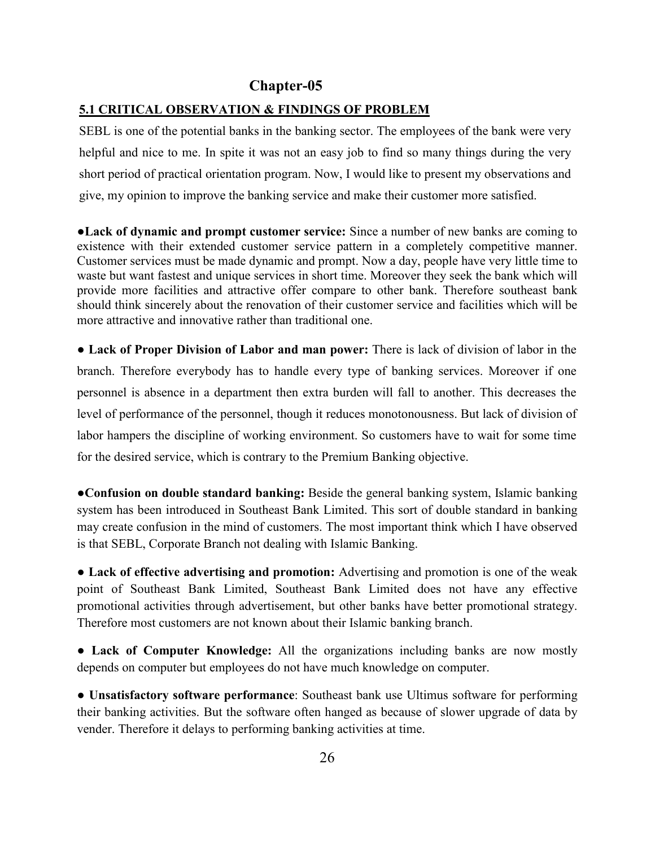# **Chapter-05**

## **5.1 CRITICAL OBSERVATION & FINDINGS OF PROBLEM**

SEBL is one of the potential banks in the banking sector. The employees of the bank were very helpful and nice to me. In spite it was not an easy job to find so many things during the very short period of practical orientation program. Now, I would like to present my observations and give, my opinion to improve the banking service and make their customer more satisfied.

**●Lack of dynamic and prompt customer service:** Since a number of new banks are coming to existence with their extended customer service pattern in a completely competitive manner. Customer services must be made dynamic and prompt. Now a day, people have very little time to waste but want fastest and unique services in short time. Moreover they seek the bank which will provide more facilities and attractive offer compare to other bank. Therefore southeast bank should think sincerely about the renovation of their customer service and facilities which will be more attractive and innovative rather than traditional one.

● **Lack of Proper Division of Labor and man power:** There is lack of division of labor in the branch. Therefore everybody has to handle every type of banking services. Moreover if one personnel is absence in a department then extra burden will fall to another. This decreases the level of performance of the personnel, though it reduces monotonousness. But lack of division of labor hampers the discipline of working environment. So customers have to wait for some time for the desired service, which is contrary to the Premium Banking objective.

**●Confusion on double standard banking:** Beside the general banking system, Islamic banking system has been introduced in Southeast Bank Limited. This sort of double standard in banking may create confusion in the mind of customers. The most important think which I have observed is that SEBL, Corporate Branch not dealing with Islamic Banking.

● **Lack of effective advertising and promotion:** Advertising and promotion is one of the weak point of Southeast Bank Limited, Southeast Bank Limited does not have any effective promotional activities through advertisement, but other banks have better promotional strategy. Therefore most customers are not known about their Islamic banking branch.

● **Lack of Computer Knowledge:** All the organizations including banks are now mostly depends on computer but employees do not have much knowledge on computer.

● **Unsatisfactory software performance**: Southeast bank use Ultimus software for performing their banking activities. But the software often hanged as because of slower upgrade of data by vender. Therefore it delays to performing banking activities at time.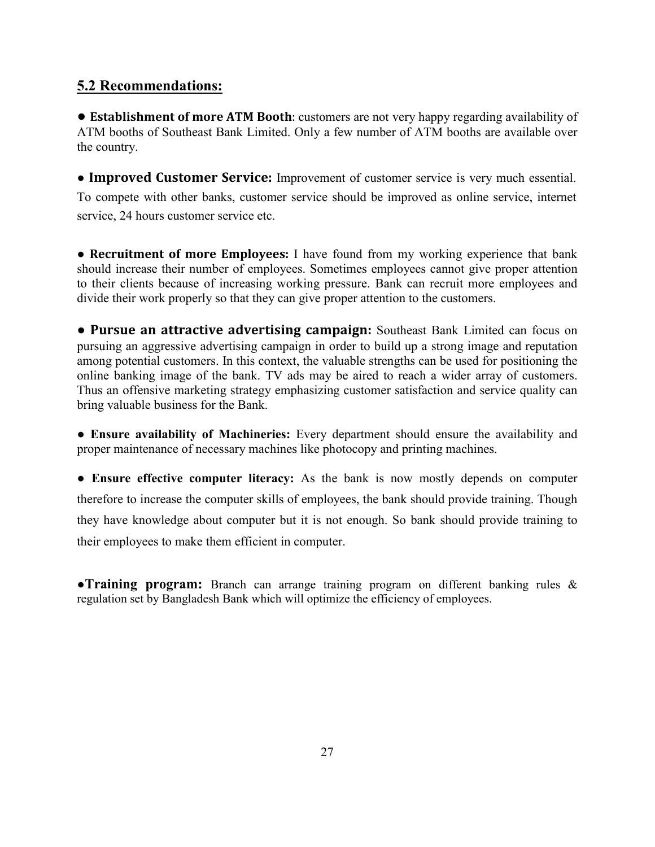# **5.2 Recommendations:**

● **Establishment of more ATM Booth**: customers are not very happy regarding availability of ATM booths of Southeast Bank Limited. Only a few number of ATM booths are available over the country.

● **Improved Customer Service:** Improvement of customer service is very much essential. To compete with other banks, customer service should be improved as online service, internet service, 24 hours customer service etc.

● **Recruitment of more Employees:** I have found from my working experience that bank should increase their number of employees. Sometimes employees cannot give proper attention to their clients because of increasing working pressure. Bank can recruit more employees and divide their work properly so that they can give proper attention to the customers.

**● Pursue an attractive advertising campaign:** Southeast Bank Limited can focus on pursuing an aggressive advertising campaign in order to build up a strong image and reputation among potential customers. In this context, the valuable strengths can be used for positioning the online banking image of the bank. TV ads may be aired to reach a wider array of customers. Thus an offensive marketing strategy emphasizing customer satisfaction and service quality can bring valuable business for the Bank.

● **Ensure availability of Machineries:** Every department should ensure the availability and proper maintenance of necessary machines like photocopy and printing machines.

● **Ensure effective computer literacy:** As the bank is now mostly depends on computer therefore to increase the computer skills of employees, the bank should provide training. Though they have knowledge about computer but it is not enough. So bank should provide training to their employees to make them efficient in computer.

●**Training program:** Branch can arrange training program on different banking rules & regulation set by Bangladesh Bank which will optimize the efficiency of employees.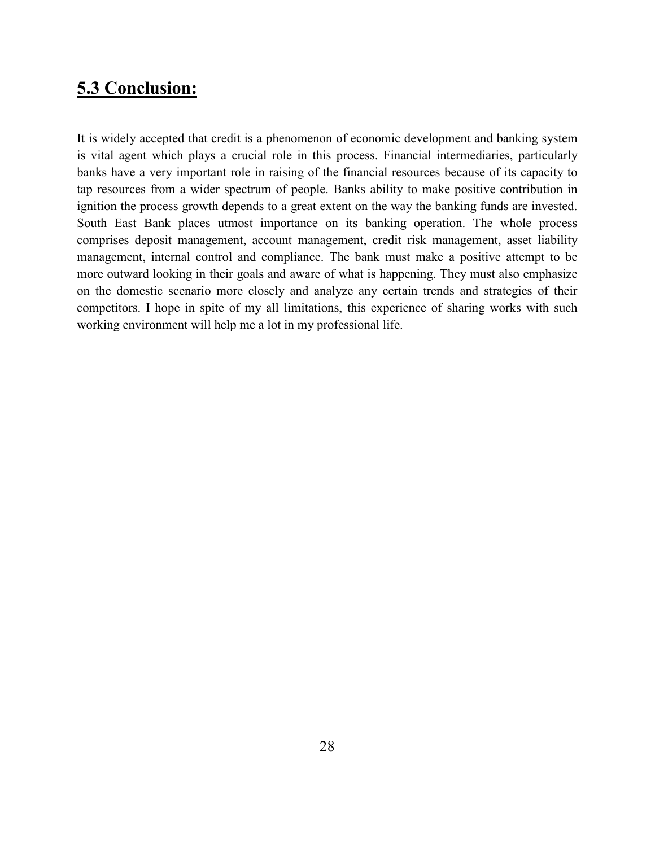# **5.3 Conclusion:**

It is widely accepted that credit is a phenomenon of economic development and banking system is vital agent which plays a crucial role in this process. Financial intermediaries, particularly banks have a very important role in raising of the financial resources because of its capacity to tap resources from a wider spectrum of people. Banks ability to make positive contribution in ignition the process growth depends to a great extent on the way the banking funds are invested. South East Bank places utmost importance on its banking operation. The whole process comprises deposit management, account management, credit risk management, asset liability management, internal control and compliance. The bank must make a positive attempt to be more outward looking in their goals and aware of what is happening. They must also emphasize on the domestic scenario more closely and analyze any certain trends and strategies of their competitors. I hope in spite of my all limitations, this experience of sharing works with such working environment will help me a lot in my professional life.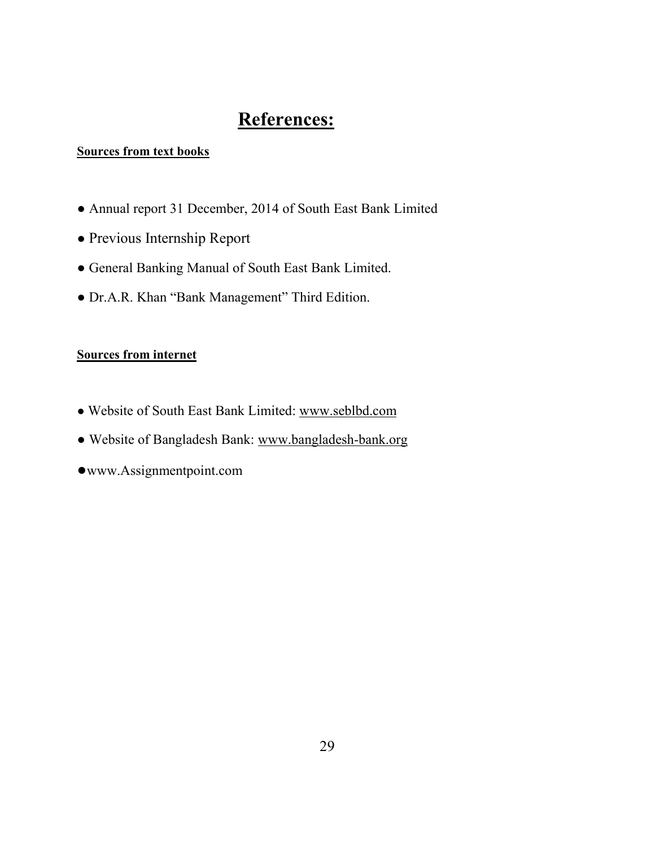# **References:**

## **Sources from text books**

- Annual report 31 December, 2014 of South East Bank Limited
- Previous Internship Report
- General Banking Manual of South East Bank Limited.
- Dr.A.R. Khan "Bank Management" Third Edition.

# **Sources from internet**

- Website of South East Bank Limited: [www.seblbd.com](http://www.seblbd.com/)
- Website of Bangladesh Bank: [www.bangladesh-bank.org](http://www.bangladesh-bank.org/)
- ●www.Assignmentpoint.com